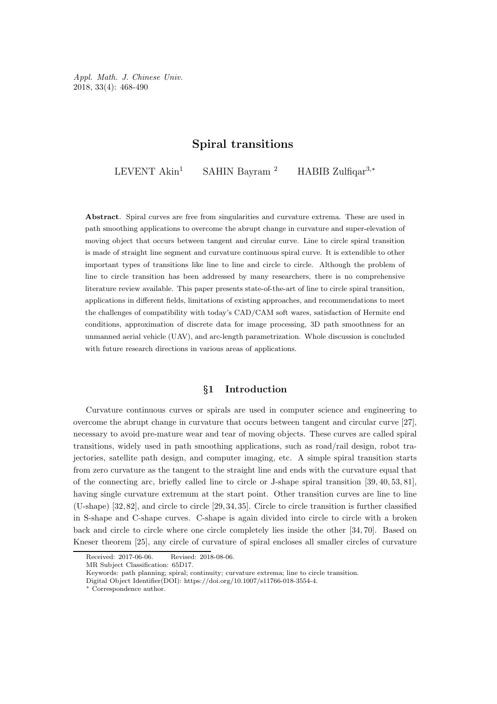Appl. Math. J. Chinese Univ. 2018, 33(4): 468-490

# Spiral transitions

LEVENT Akin<sup>1</sup> SAHIN Bayram<sup>2</sup> HABIB Zulfiqar<sup>3,∗</sup>

Abstract. Spiral curves are free from singularities and curvature extrema. These are used in path smoothing applications to overcome the abrupt change in curvature and super-elevation of moving object that occurs between tangent and circular curve. Line to circle spiral transition is made of straight line segment and curvature continuous spiral curve. It is extendible to other important types of transitions like line to line and circle to circle. Although the problem of line to circle transition has been addressed by many researchers, there is no comprehensive literature review available. This paper presents state-of-the-art of line to circle spiral transition, applications in different fields, limitations of existing approaches, and recommendations to meet the challenges of compatibility with today's CAD/CAM soft wares, satisfaction of Hermite end conditions, approximation of discrete data for image processing, 3D path smoothness for an unmanned aerial vehicle (UAV), and arc-length parametrization. Whole discussion is concluded with future research directions in various areas of applications.

#### §1 Introduction

Curvature continuous curves or spirals are used in computer science and engineering to overcome the abrupt change in curvature that occurs between tangent and circular curve [27], necessary to avoid pre-mature wear and tear of moving objects. These curves are called spiral transitions, widely used in path smoothing applications, such as road/rail design, robot trajectories, satellite path design, and computer imaging, etc. A simple spiral transition starts from zero curvature as the tangent to the straight line and ends with the curvature equal that of the connecting arc, briefly called line to circle or J-shape spiral transition [39, 40, 53, 81], having single curvature extremum at the start point. Other transition curves are line to line (U-shape) [32, 82], and circle to circle [29, 34, 35]. Circle to circle transition is further classified in S-shape and C-shape curves. C-shape is again divided into circle to circle with a broken back and circle to circle where one circle completely lies inside the other [34, 70]. Based on Kneser theorem [25], any circle of curvature of spiral encloses all smaller circles of curvature

Received: 2017-06-06. Revised: 2018-08-06.

MR Subject Classification: 65D17.

Keywords: path planning; spiral; continuity; curvature extrema; line to circle transition.

Digital Object Identifier(DOI): https://doi.org/10.1007/s11766-018-3554-4.

<sup>∗</sup> Correspondence author.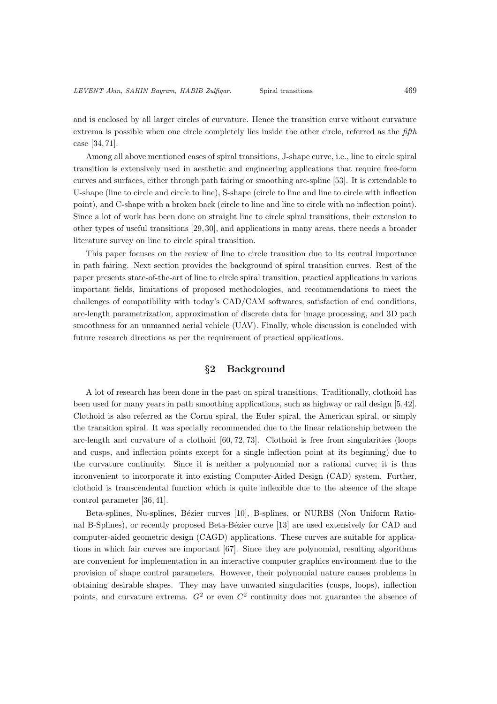and is enclosed by all larger circles of curvature. Hence the transition curve without curvature extrema is possible when one circle completely lies inside the other circle, referred as the *fifth* case [34, 71].

Among all above mentioned cases of spiral transitions, J-shape curve, i.e., line to circle spiral transition is extensively used in aesthetic and engineering applications that require free-form curves and surfaces, either through path fairing or smoothing arc-spline [53]. It is extendable to U-shape (line to circle and circle to line), S-shape (circle to line and line to circle with inflection point), and C-shape with a broken back (circle to line and line to circle with no inflection point). Since a lot of work has been done on straight line to circle spiral transitions, their extension to other types of useful transitions [29, 30], and applications in many areas, there needs a broader literature survey on line to circle spiral transition.

This paper focuses on the review of line to circle transition due to its central importance in path fairing. Next section provides the background of spiral transition curves. Rest of the paper presents state-of-the-art of line to circle spiral transition, practical applications in various important fields, limitations of proposed methodologies, and recommendations to meet the challenges of compatibility with today's CAD/CAM softwares, satisfaction of end conditions, arc-length parametrization, approximation of discrete data for image processing, and 3D path smoothness for an unmanned aerial vehicle (UAV). Finally, whole discussion is concluded with future research directions as per the requirement of practical applications.

## §2 Background

A lot of research has been done in the past on spiral transitions. Traditionally, clothoid has been used for many years in path smoothing applications, such as highway or rail design [5,42]. Clothoid is also referred as the Cornu spiral, the Euler spiral, the American spiral, or simply the transition spiral. It was specially recommended due to the linear relationship between the arc-length and curvature of a clothoid [60, 72, 73]. Clothoid is free from singularities (loops and cusps, and inflection points except for a single inflection point at its beginning) due to the curvature continuity. Since it is neither a polynomial nor a rational curve; it is thus inconvenient to incorporate it into existing Computer-Aided Design (CAD) system. Further, clothoid is transcendental function which is quite inflexible due to the absence of the shape control parameter [36, 41].

Beta-splines, Nu-splines, Bézier curves [10], B-splines, or NURBS (Non Uniform Rational B-Splines), or recently proposed Beta-Bézier curve [13] are used extensively for CAD and computer-aided geometric design (CAGD) applications. These curves are suitable for applications in which fair curves are important [67]. Since they are polynomial, resulting algorithms are convenient for implementation in an interactive computer graphics environment due to the provision of shape control parameters. However, their polynomial nature causes problems in obtaining desirable shapes. They may have unwanted singularities (cusps, loops), inflection points, and curvature extrema.  $G^2$  or even  $C^2$  continuity does not guarantee the absence of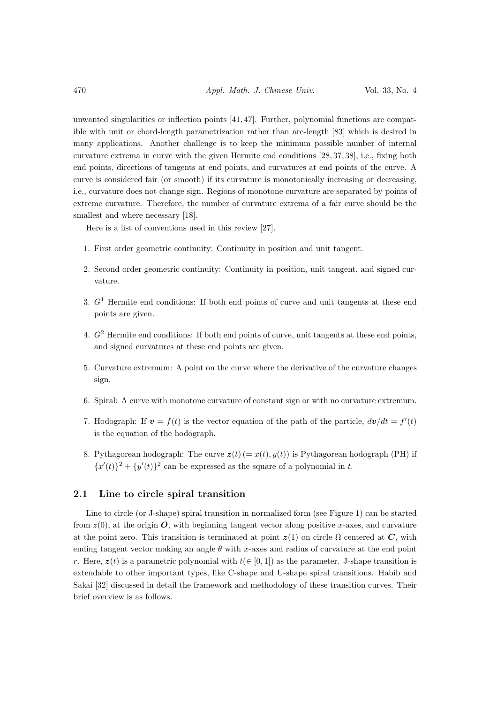unwanted singularities or inflection points [41, 47]. Further, polynomial functions are compatible with unit or chord-length parametrization rather than arc-length [83] which is desired in many applications. Another challenge is to keep the minimum possible number of internal curvature extrema in curve with the given Hermite end conditions [28, 37, 38], i.e., fixing both end points, directions of tangents at end points, and curvatures at end points of the curve. A curve is considered fair (or smooth) if its curvature is monotonically increasing or decreasing, i.e., curvature does not change sign. Regions of monotone curvature are separated by points of extreme curvature. Therefore, the number of curvature extrema of a fair curve should be the smallest and where necessary [18].

Here is a list of conventions used in this review [27].

- 1. First order geometric continuity: Continuity in position and unit tangent.
- 2. Second order geometric continuity: Continuity in position, unit tangent, and signed curvature.
- 3.  $G<sup>1</sup>$  Hermite end conditions: If both end points of curve and unit tangents at these end points are given.
- 4. G<sup>2</sup> Hermite end conditions: If both end points of curve, unit tangents at these end points, and signed curvatures at these end points are given.
- 5. Curvature extremum: A point on the curve where the derivative of the curvature changes sign.
- 6. Spiral: A curve with monotone curvature of constant sign or with no curvature extremum.
- 7. Hodograph: If  $v = f(t)$  is the vector equation of the path of the particle,  $dv/dt = f'(t)$ is the equation of the hodograph.
- 8. Pythagorean hodograph: The curve  $z(t) (= x(t), y(t))$  is Pythagorean hodograph (PH) if  ${x'(t)}^2 + {y'(t)}^2$  can be expressed as the square of a polynomial in t.

## 2.1 Line to circle spiral transition

Line to circle (or J-shape) spiral transition in normalized form (see Figure 1) can be started from  $z(0)$ , at the origin O, with beginning tangent vector along positive x-axes, and curvature at the point zero. This transition is terminated at point  $z(1)$  on circle  $\Omega$  centered at C, with ending tangent vector making an angle  $\theta$  with x-axes and radius of curvature at the end point r. Here,  $z(t)$  is a parametric polynomial with  $t \in [0, 1]$  as the parameter. J-shape transition is extendable to other important types, like C-shape and U-shape spiral transitions. Habib and Sakai [32] discussed in detail the framework and methodology of these transition curves. Their brief overview is as follows.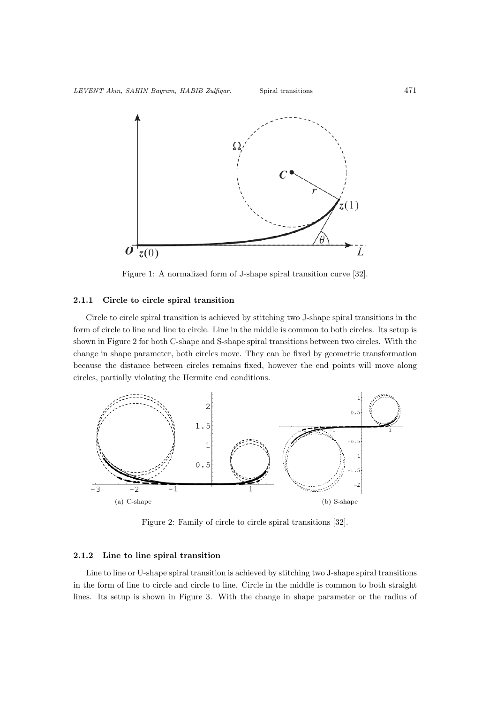

Figure 1: A normalized form of J-shape spiral transition curve [32].

#### 2.1.1 Circle to circle spiral transition

Circle to circle spiral transition is achieved by stitching two J-shape spiral transitions in the form of circle to line and line to circle. Line in the middle is common to both circles. Its setup is shown in Figure 2 for both C-shape and S-shape spiral transitions between two circles. With the change in shape parameter, both circles move. They can be fixed by geometric transformation because the distance between circles remains fixed, however the end points will move along circles, partially violating the Hermite end conditions.



Figure 2: Family of circle to circle spiral transitions [32].

#### 2.1.2 Line to line spiral transition

Line to line or U-shape spiral transition is achieved by stitching two J-shape spiral transitions in the form of line to circle and circle to line. Circle in the middle is common to both straight lines. Its setup is shown in Figure 3. With the change in shape parameter or the radius of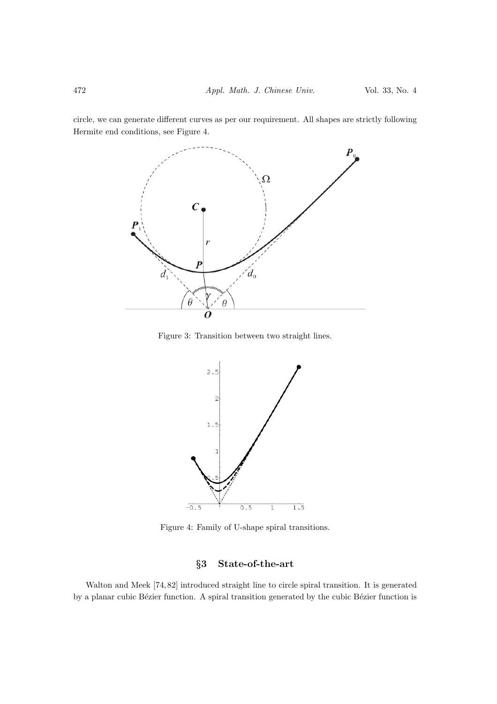circle, we can generate different curves as per our requirement. All shapes are strictly following Hermite end conditions, see Figure 4.



Figure 3: Transition between two straight lines.



Figure 4: Family of U-shape spiral transitions.

## §3 State-of-the-art

Walton and Meek [74, 82] introduced straight line to circle spiral transition. It is generated by a planar cubic Bézier function. A spiral transition generated by the cubic Bézier function is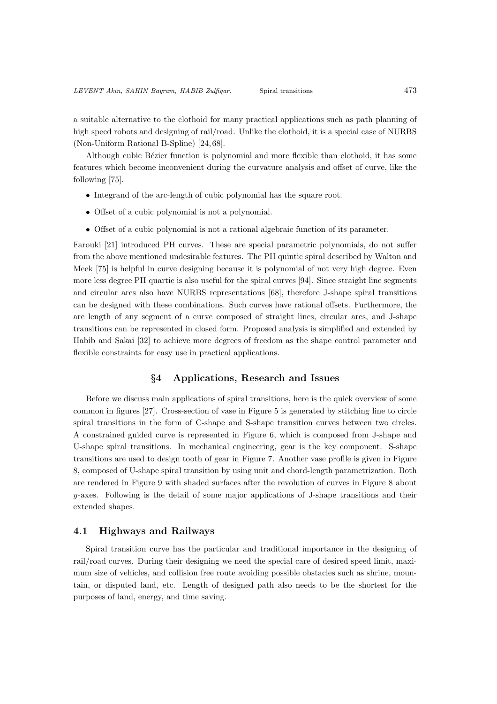a suitable alternative to the clothoid for many practical applications such as path planning of high speed robots and designing of rail/road. Unlike the clothoid, it is a special case of NURBS (Non-Uniform Rational B-Spline) [24, 68].

Although cubic Bézier function is polynomial and more flexible than clothoid, it has some features which become inconvenient during the curvature analysis and offset of curve, like the following [75].

- Integrand of the arc-length of cubic polynomial has the square root.
- Offset of a cubic polynomial is not a polynomial.
- Offset of a cubic polynomial is not a rational algebraic function of its parameter.

Farouki [21] introduced PH curves. These are special parametric polynomials, do not suffer from the above mentioned undesirable features. The PH quintic spiral described by Walton and Meek [75] is helpful in curve designing because it is polynomial of not very high degree. Even more less degree PH quartic is also useful for the spiral curves [94]. Since straight line segments and circular arcs also have NURBS representations [68], therefore J-shape spiral transitions can be designed with these combinations. Such curves have rational offsets. Furthermore, the arc length of any segment of a curve composed of straight lines, circular arcs, and J-shape transitions can be represented in closed form. Proposed analysis is simplified and extended by Habib and Sakai [32] to achieve more degrees of freedom as the shape control parameter and flexible constraints for easy use in practical applications.

#### §4 Applications, Research and Issues

Before we discuss main applications of spiral transitions, here is the quick overview of some common in figures [27]. Cross-section of vase in Figure 5 is generated by stitching line to circle spiral transitions in the form of C-shape and S-shape transition curves between two circles. A constrained guided curve is represented in Figure 6, which is composed from J-shape and U-shape spiral transitions. In mechanical engineering, gear is the key component. S-shape transitions are used to design tooth of gear in Figure 7. Another vase profile is given in Figure 8, composed of U-shape spiral transition by using unit and chord-length parametrization. Both are rendered in Figure 9 with shaded surfaces after the revolution of curves in Figure 8 about y-axes. Following is the detail of some major applications of J-shape transitions and their extended shapes.

#### 4.1 Highways and Railways

Spiral transition curve has the particular and traditional importance in the designing of rail/road curves. During their designing we need the special care of desired speed limit, maximum size of vehicles, and collision free route avoiding possible obstacles such as shrine, mountain, or disputed land, etc. Length of designed path also needs to be the shortest for the purposes of land, energy, and time saving.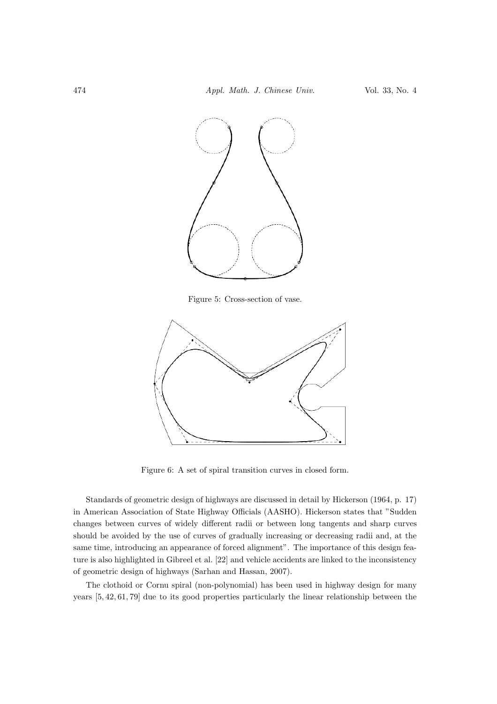

Figure 5: Cross-section of vase.



Figure 6: A set of spiral transition curves in closed form.

Standards of geometric design of highways are discussed in detail by Hickerson (1964, p. 17) in American Association of State Highway Officials (AASHO). Hickerson states that "Sudden changes between curves of widely different radii or between long tangents and sharp curves should be avoided by the use of curves of gradually increasing or decreasing radii and, at the same time, introducing an appearance of forced alignment". The importance of this design feature is also highlighted in Gibreel et al. [22] and vehicle accidents are linked to the inconsistency of geometric design of highways (Sarhan and Hassan, 2007).

The clothoid or Cornu spiral (non-polynomial) has been used in highway design for many years [5, 42, 61, 79] due to its good properties particularly the linear relationship between the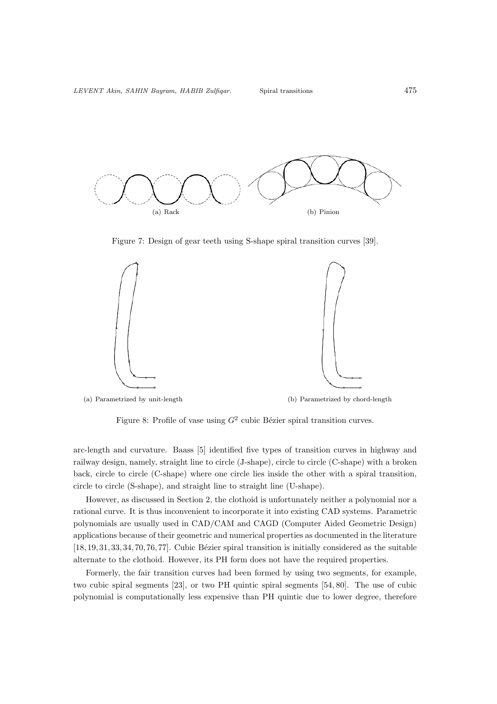

Figure 7: Design of gear teeth using S-shape spiral transition curves [39].



Figure 8: Profile of vase using  $G^2$  cubic Bézier spiral transition curves.

arc-length and curvature. Baass [5] identified five types of transition curves in highway and railway design, namely, straight line to circle (J-shape), circle to circle (C-shape) with a broken back, circle to circle (C-shape) where one circle lies inside the other with a spiral transition, circle to circle (S-shape), and straight line to straight line (U-shape).

However, as discussed in Section 2, the clothoid is unfortunately neither a polynomial nor a rational curve. It is thus inconvenient to incorporate it into existing CAD systems. Parametric polynomials are usually used in CAD/CAM and CAGD (Computer Aided Geometric Design) applications because of their geometric and numerical properties as documented in the literature  $[18, 19, 31, 33, 34, 70, 76, 77]$ . Cubic Bézier spiral transition is initially considered as the suitable alternate to the clothoid. However, its PH form does not have the required properties.

Formerly, the fair transition curves had been formed by using two segments, for example, two cubic spiral segments [23], or two PH quintic spiral segments [54, 80]. The use of cubic polynomial is computationally less expensive than PH quintic due to lower degree, therefore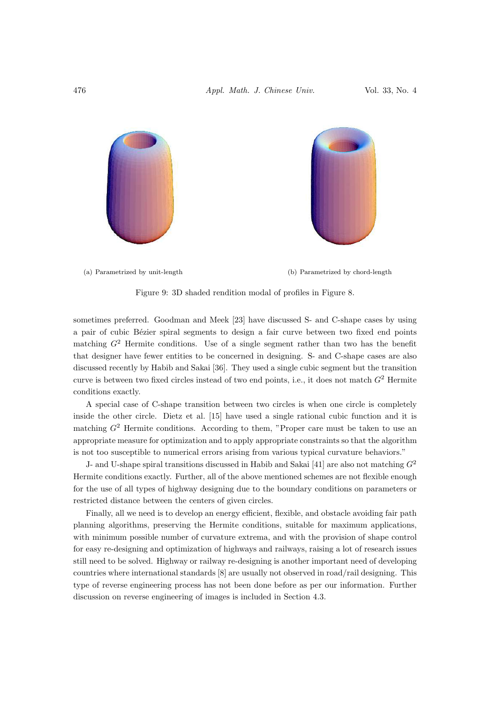

Figure 9: 3D shaded rendition modal of profiles in Figure 8.

sometimes preferred. Goodman and Meek [23] have discussed S- and C-shape cases by using a pair of cubic Bézier spiral segments to design a fair curve between two fixed end points matching  $G<sup>2</sup>$  Hermite conditions. Use of a single segment rather than two has the benefit that designer have fewer entities to be concerned in designing. S- and C-shape cases are also discussed recently by Habib and Sakai [36]. They used a single cubic segment but the transition curve is between two fixed circles instead of two end points, i.e., it does not match  $G<sup>2</sup>$  Hermite conditions exactly.

A special case of C-shape transition between two circles is when one circle is completely inside the other circle. Dietz et al. [15] have used a single rational cubic function and it is matching  $G^2$  Hermite conditions. According to them, "Proper care must be taken to use an appropriate measure for optimization and to apply appropriate constraints so that the algorithm is not too susceptible to numerical errors arising from various typical curvature behaviors."

J- and U-shape spiral transitions discussed in Habib and Sakai [41] are also not matching  $G^2$ Hermite conditions exactly. Further, all of the above mentioned schemes are not flexible enough for the use of all types of highway designing due to the boundary conditions on parameters or restricted distance between the centers of given circles.

Finally, all we need is to develop an energy efficient, flexible, and obstacle avoiding fair path planning algorithms, preserving the Hermite conditions, suitable for maximum applications, with minimum possible number of curvature extrema, and with the provision of shape control for easy re-designing and optimization of highways and railways, raising a lot of research issues still need to be solved. Highway or railway re-designing is another important need of developing countries where international standards [8] are usually not observed in road/rail designing. This type of reverse engineering process has not been done before as per our information. Further discussion on reverse engineering of images is included in Section 4.3.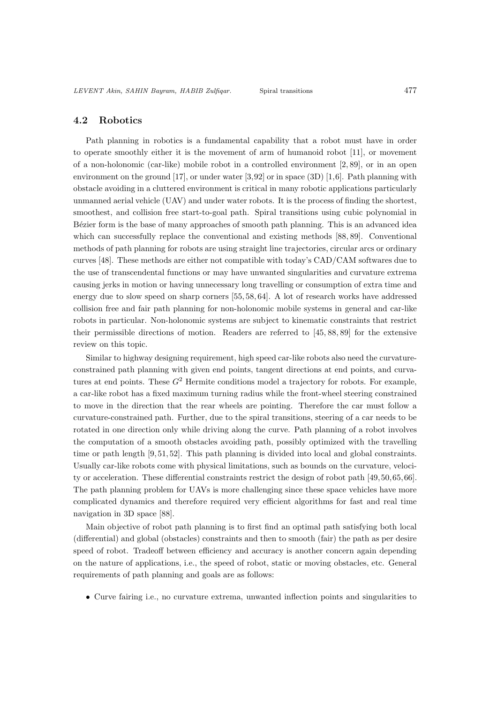#### 4.2 Robotics

Path planning in robotics is a fundamental capability that a robot must have in order to operate smoothly either it is the movement of arm of humanoid robot [11], or movement of a non-holonomic (car-like) mobile robot in a controlled environment [2, 89], or in an open environment on the ground [17], or under water [3,92] or in space (3D) [1,6]. Path planning with obstacle avoiding in a cluttered environment is critical in many robotic applications particularly unmanned aerial vehicle (UAV) and under water robots. It is the process of finding the shortest, smoothest, and collision free start-to-goal path. Spiral transitions using cubic polynomial in Bézier form is the base of many approaches of smooth path planning. This is an advanced idea which can successfully replace the conventional and existing methods [88, 89]. Conventional methods of path planning for robots are using straight line trajectories, circular arcs or ordinary curves [48]. These methods are either not compatible with today's CAD/CAM softwares due to the use of transcendental functions or may have unwanted singularities and curvature extrema causing jerks in motion or having unnecessary long travelling or consumption of extra time and energy due to slow speed on sharp corners [55, 58, 64]. A lot of research works have addressed collision free and fair path planning for non-holonomic mobile systems in general and car-like robots in particular. Non-holonomic systems are subject to kinematic constraints that restrict their permissible directions of motion. Readers are referred to [45, 88, 89] for the extensive review on this topic.

Similar to highway designing requirement, high speed car-like robots also need the curvatureconstrained path planning with given end points, tangent directions at end points, and curvatures at end points. These  $G<sup>2</sup>$  Hermite conditions model a trajectory for robots. For example, a car-like robot has a fixed maximum turning radius while the front-wheel steering constrained to move in the direction that the rear wheels are pointing. Therefore the car must follow a curvature-constrained path. Further, due to the spiral transitions, steering of a car needs to be rotated in one direction only while driving along the curve. Path planning of a robot involves the computation of a smooth obstacles avoiding path, possibly optimized with the travelling time or path length [9, 51, 52]. This path planning is divided into local and global constraints. Usually car-like robots come with physical limitations, such as bounds on the curvature, velocity or acceleration. These differential constraints restrict the design of robot path [49,50,65,66]. The path planning problem for UAVs is more challenging since these space vehicles have more complicated dynamics and therefore required very efficient algorithms for fast and real time navigation in 3D space [88].

Main objective of robot path planning is to first find an optimal path satisfying both local (differential) and global (obstacles) constraints and then to smooth (fair) the path as per desire speed of robot. Tradeoff between efficiency and accuracy is another concern again depending on the nature of applications, i.e., the speed of robot, static or moving obstacles, etc. General requirements of path planning and goals are as follows:

• Curve fairing i.e., no curvature extrema, unwanted inflection points and singularities to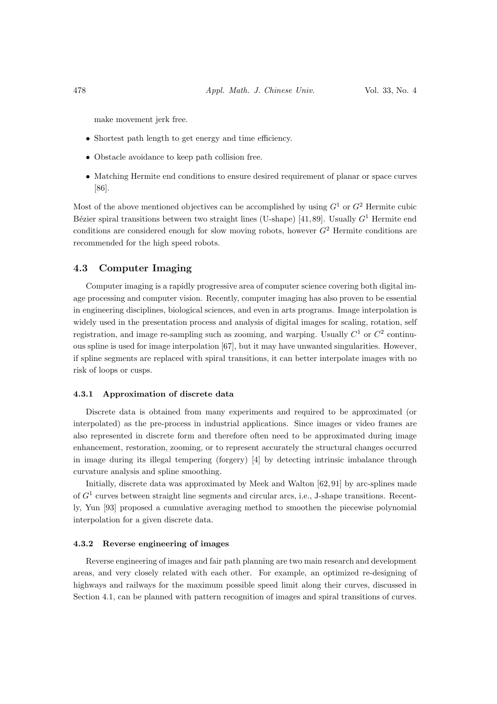make movement jerk free.

- Shortest path length to get energy and time efficiency.
- Obstacle avoidance to keep path collision free.
- Matching Hermite end conditions to ensure desired requirement of planar or space curves [86].

Most of the above mentioned objectives can be accomplished by using  $G^1$  or  $G^2$  Hermite cubic Bézier spiral transitions between two straight lines (U-shape) [41,89]. Usually  $G<sup>1</sup>$  Hermite end conditions are considered enough for slow moving robots, however  $G<sup>2</sup>$  Hermite conditions are recommended for the high speed robots.

### 4.3 Computer Imaging

Computer imaging is a rapidly progressive area of computer science covering both digital image processing and computer vision. Recently, computer imaging has also proven to be essential in engineering disciplines, biological sciences, and even in arts programs. Image interpolation is widely used in the presentation process and analysis of digital images for scaling, rotation, self registration, and image re-sampling such as zooming, and warping. Usually  $C^1$  or  $C^2$  continuous spline is used for image interpolation [67], but it may have unwanted singularities. However, if spline segments are replaced with spiral transitions, it can better interpolate images with no risk of loops or cusps.

#### 4.3.1 Approximation of discrete data

Discrete data is obtained from many experiments and required to be approximated (or interpolated) as the pre-process in industrial applications. Since images or video frames are also represented in discrete form and therefore often need to be approximated during image enhancement, restoration, zooming, or to represent accurately the structural changes occurred in image during its illegal tempering (forgery) [4] by detecting intrinsic imbalance through curvature analysis and spline smoothing.

Initially, discrete data was approximated by Meek and Walton [62, 91] by arc-splines made of  $G<sup>1</sup>$  curves between straight line segments and circular arcs, i.e., J-shape transitions. Recently, Yun [93] proposed a cumulative averaging method to smoothen the piecewise polynomial interpolation for a given discrete data.

#### 4.3.2 Reverse engineering of images

Reverse engineering of images and fair path planning are two main research and development areas, and very closely related with each other. For example, an optimized re-designing of highways and railways for the maximum possible speed limit along their curves, discussed in Section 4.1, can be planned with pattern recognition of images and spiral transitions of curves.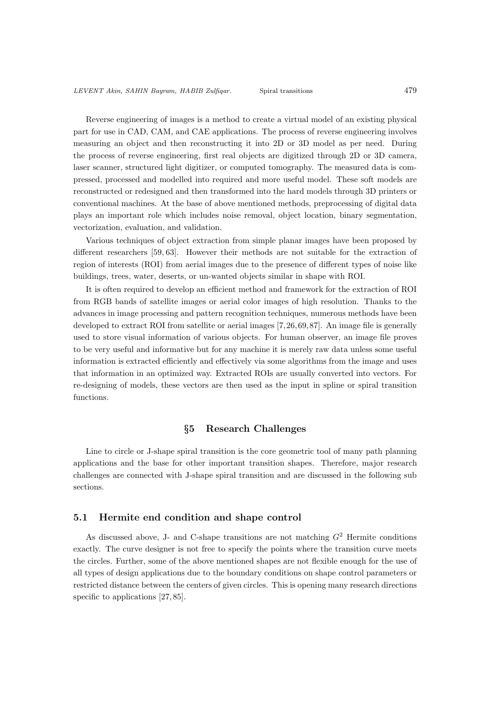Reverse engineering of images is a method to create a virtual model of an existing physical part for use in CAD, CAM, and CAE applications. The process of reverse engineering involves measuring an object and then reconstructing it into 2D or 3D model as per need. During the process of reverse engineering, first real objects are digitized through 2D or 3D camera, laser scanner, structured light digitizer, or computed tomography. The measured data is compressed, processed and modelled into required and more useful model. These soft models are reconstructed or redesigned and then transformed into the hard models through 3D printers or conventional machines. At the base of above mentioned methods, preprocessing of digital data plays an important role which includes noise removal, object location, binary segmentation, vectorization, evaluation, and validation.

Various techniques of object extraction from simple planar images have been proposed by different researchers [59, 63]. However their methods are not suitable for the extraction of region of interests (ROI) from aerial images due to the presence of different types of noise like buildings, trees, water, deserts, or un-wanted objects similar in shape with ROI.

It is often required to develop an efficient method and framework for the extraction of ROI from RGB bands of satellite images or aerial color images of high resolution. Thanks to the advances in image processing and pattern recognition techniques, numerous methods have been developed to extract ROI from satellite or aerial images [7,26,69,87]. An image file is generally used to store visual information of various objects. For human observer, an image file proves to be very useful and informative but for any machine it is merely raw data unless some useful information is extracted efficiently and effectively via some algorithms from the image and uses that information in an optimized way. Extracted ROIs are usually converted into vectors. For re-designing of models, these vectors are then used as the input in spline or spiral transition functions.

#### §5 Research Challenges

Line to circle or J-shape spiral transition is the core geometric tool of many path planning applications and the base for other important transition shapes. Therefore, major research challenges are connected with J-shape spiral transition and are discussed in the following sub sections.

## 5.1 Hermite end condition and shape control

As discussed above, J- and C-shape transitions are not matching  $G<sup>2</sup>$  Hermite conditions exactly. The curve designer is not free to specify the points where the transition curve meets the circles. Further, some of the above mentioned shapes are not flexible enough for the use of all types of design applications due to the boundary conditions on shape control parameters or restricted distance between the centers of given circles. This is opening many research directions specific to applications [27, 85].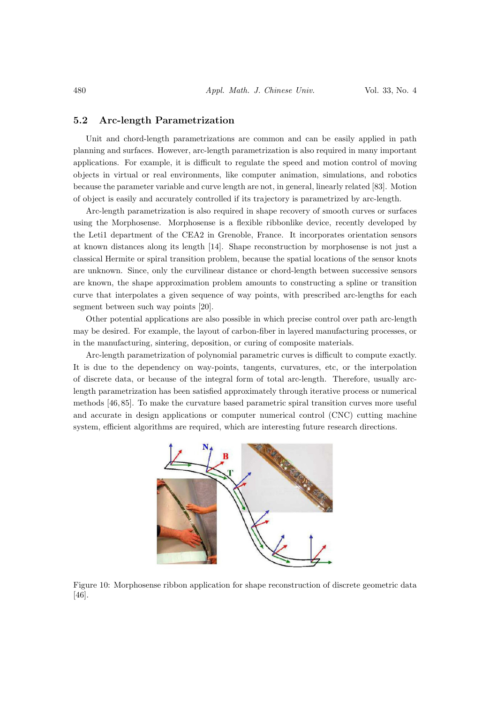### 5.2 Arc-length Parametrization

Unit and chord-length parametrizations are common and can be easily applied in path planning and surfaces. However, arc-length parametrization is also required in many important applications. For example, it is difficult to regulate the speed and motion control of moving objects in virtual or real environments, like computer animation, simulations, and robotics because the parameter variable and curve length are not, in general, linearly related [83]. Motion of object is easily and accurately controlled if its trajectory is parametrized by arc-length.

Arc-length parametrization is also required in shape recovery of smooth curves or surfaces using the Morphosense. Morphosense is a flexible ribbonlike device, recently developed by the Leti1 department of the CEA2 in Grenoble, France. It incorporates orientation sensors at known distances along its length [14]. Shape reconstruction by morphosense is not just a classical Hermite or spiral transition problem, because the spatial locations of the sensor knots are unknown. Since, only the curvilinear distance or chord-length between successive sensors are known, the shape approximation problem amounts to constructing a spline or transition curve that interpolates a given sequence of way points, with prescribed arc-lengths for each segment between such way points [20].

Other potential applications are also possible in which precise control over path arc-length may be desired. For example, the layout of carbon-fiber in layered manufacturing processes, or in the manufacturing, sintering, deposition, or curing of composite materials.

Arc-length parametrization of polynomial parametric curves is difficult to compute exactly. It is due to the dependency on way-points, tangents, curvatures, etc, or the interpolation of discrete data, or because of the integral form of total arc-length. Therefore, usually arclength parametrization has been satisfied approximately through iterative process or numerical methods [46, 85]. To make the curvature based parametric spiral transition curves more useful and accurate in design applications or computer numerical control (CNC) cutting machine system, efficient algorithms are required, which are interesting future research directions.



Figure 10: Morphosense ribbon application for shape reconstruction of discrete geometric data [46].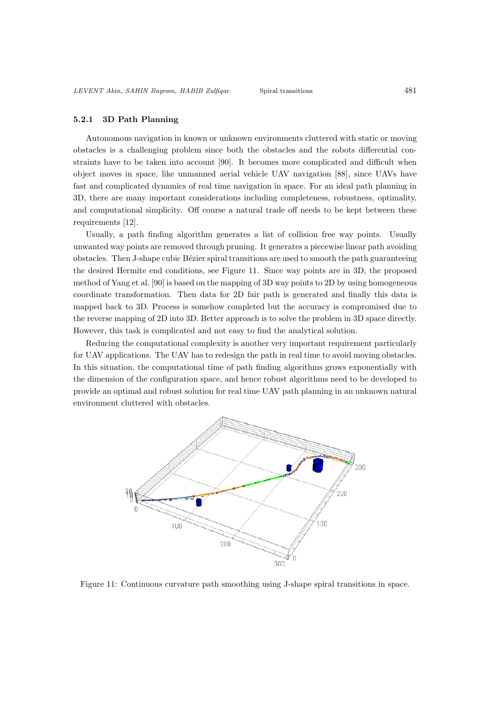#### 5.2.1 3D Path Planning

Autonomous navigation in known or unknown environments cluttered with static or moving obstacles is a challenging problem since both the obstacles and the robots differential constraints have to be taken into account [90]. It becomes more complicated and difficult when object moves in space, like unmanned aerial vehicle UAV navigation [88], since UAVs have fast and complicated dynamics of real time navigation in space. For an ideal path planning in 3D, there are many important considerations including completeness, robustness, optimality, and computational simplicity. Off course a natural trade off needs to be kept between these requirements [12].

Usually, a path finding algorithm generates a list of collision free way points. Usually unwanted way points are removed through pruning. It generates a piecewise linear path avoiding obstacles. Then J-shape cubic B´ezier spiral transitions are used to smooth the path guaranteeing the desired Hermite end conditions, see Figure 11. Since way points are in 3D, the proposed method of Yang et al. [90] is based on the mapping of 3D way points to 2D by using homogeneous coordinate transformation. Then data for 2D fair path is generated and finally this data is mapped back to 3D. Process is somehow completed but the accuracy is compromised due to the reverse mapping of 2D into 3D. Better approach is to solve the problem in 3D space directly. However, this task is complicated and not easy to find the analytical solution.

Reducing the computational complexity is another very important requirement particularly for UAV applications. The UAV has to redesign the path in real time to avoid moving obstacles. In this situation, the computational time of path finding algorithms grows exponentially with the dimension of the configuration space, and hence robust algorithms need to be developed to provide an optimal and robust solution for real time UAV path planning in an unknown natural environment cluttered with obstacles.



Figure 11: Continuous curvature path smoothing using J-shape spiral transitions in space.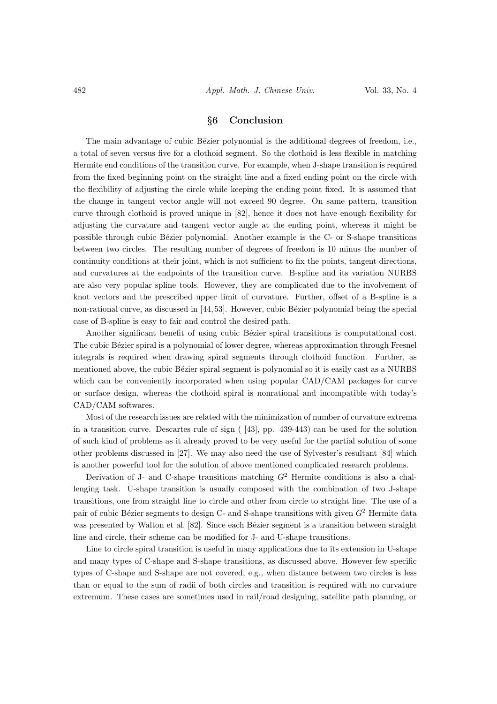#### §6 Conclusion

The main advantage of cubic Bézier polynomial is the additional degrees of freedom, i.e., a total of seven versus five for a clothoid segment. So the clothoid is less flexible in matching Hermite end conditions of the transition curve. For example, when J-shape transition is required from the fixed beginning point on the straight line and a fixed ending point on the circle with the flexibility of adjusting the circle while keeping the ending point fixed. It is assumed that the change in tangent vector angle will not exceed 90 degree. On same pattern, transition curve through clothoid is proved unique in [82], hence it does not have enough flexibility for adjusting the curvature and tangent vector angle at the ending point, whereas it might be possible through cubic B´ezier polynomial. Another example is the C- or S-shape transitions between two circles. The resulting number of degrees of freedom is 10 minus the number of continuity conditions at their joint, which is not sufficient to fix the points, tangent directions, and curvatures at the endpoints of the transition curve. B-spline and its variation NURBS are also very popular spline tools. However, they are complicated due to the involvement of knot vectors and the prescribed upper limit of curvature. Further, offset of a B-spline is a non-rational curve, as discussed in [44, 53]. However, cubic Bézier polynomial being the special case of B-spline is easy to fair and control the desired path.

Another significant benefit of using cubic Bézier spiral transitions is computational cost. The cubic Bézier spiral is a polynomial of lower degree, whereas approximation through Fresnel integrals is required when drawing spiral segments through clothoid function. Further, as mentioned above, the cubic Bézier spiral segment is polynomial so it is easily cast as a NURBS which can be conveniently incorporated when using popular CAD/CAM packages for curve or surface design, whereas the clothoid spiral is nonrational and incompatible with today's CAD/CAM softwares.

Most of the research issues are related with the minimization of number of curvature extrema in a transition curve. Descartes rule of sign ( [43], pp. 439-443) can be used for the solution of such kind of problems as it already proved to be very useful for the partial solution of some other problems discussed in [27]. We may also need the use of Sylvester's resultant [84] which is another powerful tool for the solution of above mentioned complicated research problems.

Derivation of J- and C-shape transitions matching  $G<sup>2</sup>$  Hermite conditions is also a challenging task. U-shape transition is usually composed with the combination of two J-shape transitions, one from straight line to circle and other from circle to straight line. The use of a pair of cubic Bézier segments to design C- and S-shape transitions with given  $G<sup>2</sup>$  Hermite data was presented by Walton et al. [82]. Since each Bézier segment is a transition between straight line and circle, their scheme can be modified for J- and U-shape transitions.

Line to circle spiral transition is useful in many applications due to its extension in U-shape and many types of C-shape and S-shape transitions, as discussed above. However few specific types of C-shape and S-shape are not covered, e.g., when distance between two circles is less than or equal to the sum of radii of both circles and transition is required with no curvature extremum. These cases are sometimes used in rail/road designing, satellite path planning, or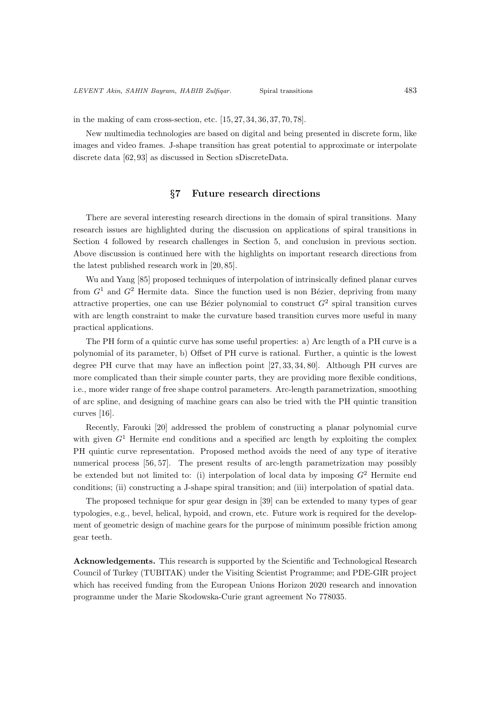in the making of cam cross-section, etc. [15, 27, 34, 36, 37, 70, 78].

New multimedia technologies are based on digital and being presented in discrete form, like images and video frames. J-shape transition has great potential to approximate or interpolate discrete data [62, 93] as discussed in Section sDiscreteData.

## §7 Future research directions

There are several interesting research directions in the domain of spiral transitions. Many research issues are highlighted during the discussion on applications of spiral transitions in Section 4 followed by research challenges in Section 5, and conclusion in previous section. Above discussion is continued here with the highlights on important research directions from the latest published research work in [20, 85].

Wu and Yang [85] proposed techniques of interpolation of intrinsically defined planar curves from  $G<sup>1</sup>$  and  $G<sup>2</sup>$  Hermite data. Since the function used is non Bézier, depriving from many attractive properties, one can use Bézier polynomial to construct  $G^2$  spiral transition curves with arc length constraint to make the curvature based transition curves more useful in many practical applications.

The PH form of a quintic curve has some useful properties: a) Arc length of a PH curve is a polynomial of its parameter, b) Offset of PH curve is rational. Further, a quintic is the lowest degree PH curve that may have an inflection point [27, 33, 34, 80]. Although PH curves are more complicated than their simple counter parts, they are providing more flexible conditions, i.e., more wider range of free shape control parameters. Arc-length parametrization, smoothing of arc spline, and designing of machine gears can also be tried with the PH quintic transition curves [16].

Recently, Farouki [20] addressed the problem of constructing a planar polynomial curve with given  $G<sup>1</sup>$  Hermite end conditions and a specified arc length by exploiting the complex PH quintic curve representation. Proposed method avoids the need of any type of iterative numerical process [56, 57]. The present results of arc-length parametrization may possibly be extended but not limited to: (i) interpolation of local data by imposing  $G<sup>2</sup>$  Hermite end conditions; (ii) constructing a J-shape spiral transition; and (iii) interpolation of spatial data.

The proposed technique for spur gear design in [39] can be extended to many types of gear typologies, e.g., bevel, helical, hypoid, and crown, etc. Future work is required for the development of geometric design of machine gears for the purpose of minimum possible friction among gear teeth.

Acknowledgements. This research is supported by the Scientific and Technological Research Council of Turkey (TUBITAK) under the Visiting Scientist Programme; and PDE-GIR project which has received funding from the European Unions Horizon 2020 research and innovation programme under the Marie Skodowska-Curie grant agreement No 778035.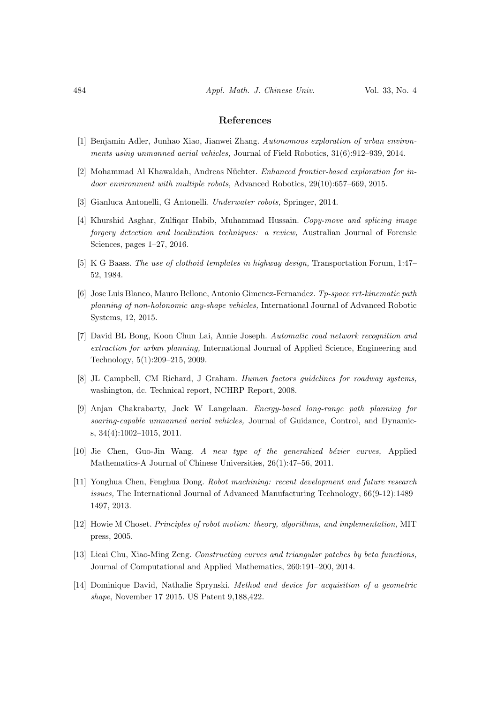## References

- [1] Benjamin Adler, Junhao Xiao, Jianwei Zhang. Autonomous exploration of urban environments using unmanned aerial vehicles, Journal of Field Robotics, 31(6):912–939, 2014.
- [2] Mohammad Al Khawaldah, Andreas Nüchter, *Enhanced frontier-based exploration for in*door environment with multiple robots, Advanced Robotics, 29(10):657–669, 2015.
- [3] Gianluca Antonelli, G Antonelli. Underwater robots, Springer, 2014.
- [4] Khurshid Asghar, Zulfiqar Habib, Muhammad Hussain. Copy-move and splicing image forgery detection and localization techniques: a review, Australian Journal of Forensic Sciences, pages 1–27, 2016.
- [5] K G Baass. The use of clothoid templates in highway design, Transportation Forum, 1:47– 52, 1984.
- [6] Jose Luis Blanco, Mauro Bellone, Antonio Gimenez-Fernandez. Tp-space rrt-kinematic path planning of non-holonomic any-shape vehicles, International Journal of Advanced Robotic Systems, 12, 2015.
- [7] David BL Bong, Koon Chun Lai, Annie Joseph. Automatic road network recognition and extraction for urban planning, International Journal of Applied Science, Engineering and Technology, 5(1):209–215, 2009.
- [8] JL Campbell, CM Richard, J Graham. Human factors quidelines for roadway systems, washington, dc. Technical report, NCHRP Report, 2008.
- [9] Anjan Chakrabarty, Jack W Langelaan. Energy-based long-range path planning for soaring-capable unmanned aerial vehicles, Journal of Guidance, Control, and Dynamics, 34(4):1002–1015, 2011.
- $[10]$  Jie Chen, Guo-Jin Wang. A new type of the generalized bézier curves, Applied Mathematics-A Journal of Chinese Universities, 26(1):47–56, 2011.
- [11] Yonghua Chen, Fenghua Dong. Robot machining: recent development and future research issues, The International Journal of Advanced Manufacturing Technology, 66(9-12):1489– 1497, 2013.
- [12] Howie M Choset. Principles of robot motion: theory, algorithms, and implementation, MIT press, 2005.
- [13] Licai Chu, Xiao-Ming Zeng. Constructing curves and triangular patches by beta functions, Journal of Computational and Applied Mathematics, 260:191–200, 2014.
- [14] Dominique David, Nathalie Sprynski. Method and device for acquisition of a geometric shape, November 17 2015. US Patent 9,188,422.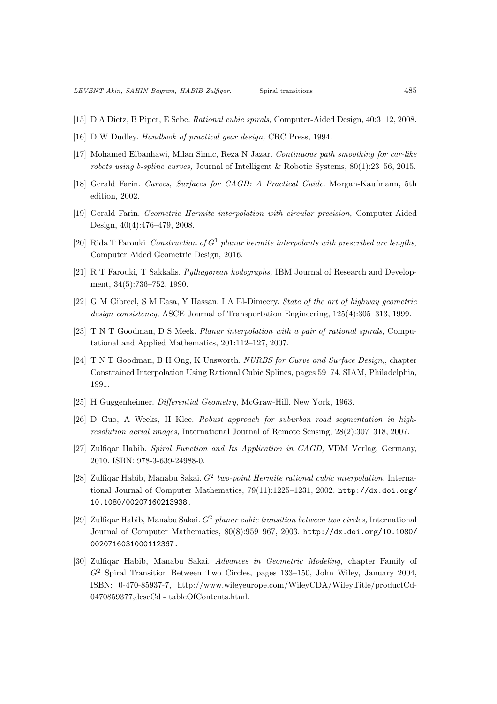- [15] D A Dietz, B Piper, E Sebe. Rational cubic spirals, Computer-Aided Design, 40:3–12, 2008.
- [16] D W Dudley. Handbook of practical gear design, CRC Press, 1994.
- [17] Mohamed Elbanhawi, Milan Simic, Reza N Jazar. Continuous path smoothing for car-like robots using b-spline curves, Journal of Intelligent & Robotic Systems,  $80(1):23-56, 2015$ .
- [18] Gerald Farin. Curves, Surfaces for CAGD: A Practical Guide. Morgan-Kaufmann, 5th edition, 2002.
- [19] Gerald Farin. Geometric Hermite interpolation with circular precision, Computer-Aided Design, 40(4):476–479, 2008.
- [20] Rida T Farouki. Construction of  $G<sup>1</sup>$  planar hermite interpolants with prescribed arc lengths, Computer Aided Geometric Design, 2016.
- [21] R T Farouki, T Sakkalis. Pythagorean hodographs, IBM Journal of Research and Development, 34(5):736–752, 1990.
- [22] G M Gibreel, S M Easa, Y Hassan, I A El-Dimeery. State of the art of highway geometric design consistency, ASCE Journal of Transportation Engineering, 125(4):305–313, 1999.
- [23] T N T Goodman, D S Meek. Planar interpolation with a pair of rational spirals, Computational and Applied Mathematics, 201:112–127, 2007.
- [24] T N T Goodman, B H Ong, K Unsworth. NURBS for Curve and Surface Design,, chapter Constrained Interpolation Using Rational Cubic Splines, pages 59–74. SIAM, Philadelphia, 1991.
- [25] H Guggenheimer. *Differential Geometry*. McGraw-Hill, New York, 1963.
- [26] D Guo, A Weeks, H Klee. Robust approach for suburban road segmentation in highresolution aerial images, International Journal of Remote Sensing, 28(2):307–318, 2007.
- [27] Zulfiqar Habib. Spiral Function and Its Application in CAGD, VDM Verlag, Germany, 2010. ISBN: 978-3-639-24988-0.
- [28] Zulfiqar Habib, Manabu Sakai.  $G^2$  two-point Hermite rational cubic interpolation, International Journal of Computer Mathematics, 79(11):1225–1231, 2002. http://dx.doi.org/ 10.1080/00207160213938.
- [29] Zulfiqar Habib, Manabu Sakai.  $G^2$  planar cubic transition between two circles, International Journal of Computer Mathematics, 80(8):959–967, 2003. http://dx.doi.org/10.1080/ 0020716031000112367.
- [30] Zulfiqar Habib, Manabu Sakai. Advances in Geometric Modeling, chapter Family of  $G<sup>2</sup>$  Spiral Transition Between Two Circles, pages 133–150, John Wiley, January 2004, ISBN: 0-470-85937-7, http://www.wileyeurope.com/WileyCDA/WileyTitle/productCd-0470859377,descCd - tableOfContents.html.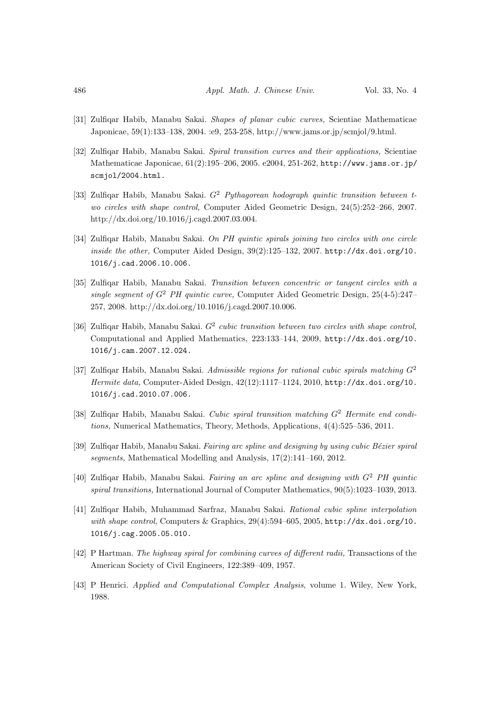- [31] Zulfiqar Habib, Manabu Sakai. Shapes of planar cubic curves, Scientiae Mathematicae Japonicae, 59(1):133–138, 2004. :e9, 253-258, http://www.jams.or.jp/scmjol/9.html.
- [32] Zulfiqar Habib, Manabu Sakai. Spiral transition curves and their applications, Scientiae Mathematicae Japonicae, 61(2):195–206, 2005. e2004, 251-262, http://www.jams.or.jp/ scmjol/2004.html.
- [33] Zulfiqar Habib, Manabu Sakai.  $G^2$  Pythagorean hodograph quintic transition between two circles with shape control, Computer Aided Geometric Design, 24(5):252–266, 2007. http://dx.doi.org/10.1016/j.cagd.2007.03.004.
- [34] Zulfiqar Habib, Manabu Sakai. On PH quintic spirals joining two circles with one circle inside the other, Computer Aided Design, 39(2):125–132, 2007. http://dx.doi.org/10. 1016/j.cad.2006.10.006.
- [35] Zulfiqar Habib, Manabu Sakai. Transition between concentric or tangent circles with a single segment of  $G^2$  PH quintic curve, Computer Aided Geometric Design, 25(4-5):247– 257, 2008. http://dx.doi.org/10.1016/j.cagd.2007.10.006.
- [36] Zulfiqar Habib, Manabu Sakai.  $G^2$  cubic transition between two circles with shape control, Computational and Applied Mathematics, 223:133–144, 2009, http://dx.doi.org/10. 1016/j.cam.2007.12.024.
- [37] Zulfiqar Habib, Manabu Sakai. Admissible regions for rational cubic spirals matching  $G^2$ Hermite data, Computer-Aided Design,  $42(12):1117-1124$ ,  $2010$ ,  $http://dx.doi.org/10$ . 1016/j.cad.2010.07.006.
- [38] Zulfiqar Habib, Manabu Sakai. Cubic spiral transition matching  $G^2$  Hermite end conditions, Numerical Mathematics, Theory, Methods, Applications, 4(4):525–536, 2011.
- [39] Zulfiqar Habib, Manabu Sakai. Fairing arc spline and designing by using cubic Bézier spiral segments, Mathematical Modelling and Analysis, 17(2):141–160, 2012.
- [40] Zulfiqar Habib, Manabu Sakai. Fairing an arc spline and designing with  $G<sup>2</sup>$  PH quintic spiral transitions, International Journal of Computer Mathematics, 90(5):1023–1039, 2013.
- [41] Zulfiqar Habib, Muhammad Sarfraz, Manabu Sakai. Rational cubic spline interpolation with shape control, Computers & Graphics, 29(4):594–605, 2005, http://dx.doi.org/10. 1016/j.cag.2005.05.010.
- [42] P Hartman. The highway spiral for combining curves of different radii, Transactions of the American Society of Civil Engineers, 122:389–409, 1957.
- [43] P Henrici. Applied and Computational Complex Analysis, volume 1. Wiley, New York, 1988.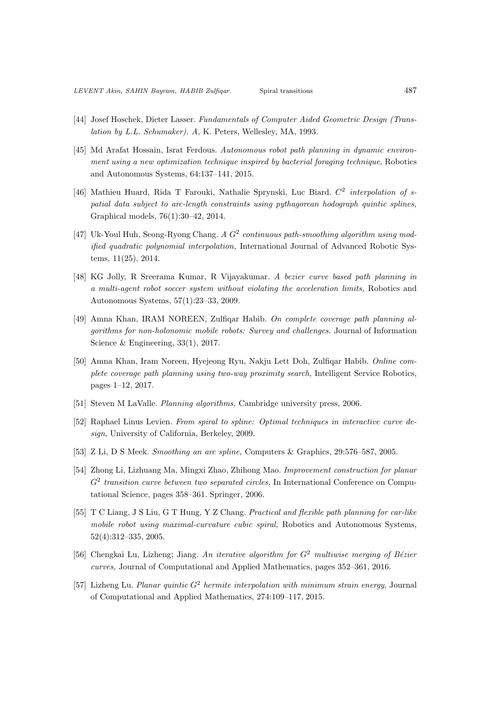- [44] Josef Hoschek, Dieter Lasser. Fundamentals of Computer Aided Geometric Design (Translation by L.L. Schumaker). A, K. Peters, Wellesley, MA, 1993.
- [45] Md Arafat Hossain, Israt Ferdous. Autonomous robot path planning in dynamic environment using a new optimization technique inspired by bacterial foraging technique, Robotics and Autonomous Systems, 64:137–141, 2015.
- [46] Mathieu Huard, Rida T Farouki, Nathalie Sprynski, Luc Biard.  $C^2$  interpolation of spatial data subject to arc-length constraints using pythagorean hodograph quintic splines, Graphical models, 76(1):30–42, 2014.
- [47] Uk-Youl Huh, Seong-Ryong Chang.  $A G<sup>2</sup>$  continuous path-smoothing algorithm using modified quadratic polynomial interpolation, International Journal of Advanced Robotic Systems, 11(25), 2014.
- [48] KG Jolly, R Sreerama Kumar, R Vijayakumar. A bezier curve based path planning in a multi-agent robot soccer system without violating the acceleration limits, Robotics and Autonomous Systems, 57(1):23–33, 2009.
- [49] Amna Khan, IRAM NOREEN, Zulfiqar Habib. On complete coverage path planning algorithms for non-holonomic mobile robots: Survey and challenges. Journal of Information Science & Engineering, 33(1), 2017.
- [50] Amna Khan, Iram Noreen, Hyejeong Ryu, Nakju Lett Doh, Zulfiqar Habib. Online complete coverage path planning using two-way proximity search, Intelligent Service Robotics, pages 1–12, 2017.
- [51] Steven M LaValle. Planning algorithms, Cambridge university press, 2006.
- [52] Raphael Linus Levien. From spiral to spline: Optimal techniques in interactive curve design, University of California, Berkeley, 2009.
- [53] Z Li, D S Meek. Smoothing an arc spline, Computers & Graphics, 29:576–587, 2005.
- [54] Zhong Li, Lizhuang Ma, Mingxi Zhao, Zhihong Mao. Improvement construction for planar  $G<sup>2</sup>$  transition curve between two separated circles, In International Conference on Computational Science, pages 358–361. Springer, 2006.
- [55] T C Liang, J S Liu, G T Hung, Y Z Chang. Practical and flexible path planning for car-like mobile robot using maximal-curvature cubic spiral, Robotics and Autonomous Systems, 52(4):312–335, 2005.
- [56] Chengkai Lu, Lizheng; Jiang. An iterative algorithm for  $G^2$  multiwise merging of Bézier curves, Journal of Computational and Applied Mathematics, pages 352–361, 2016.
- [57] Lizheng Lu. Planar quintic  $G^2$  hermite interpolation with minimum strain energy, Journal of Computational and Applied Mathematics, 274:109–117, 2015.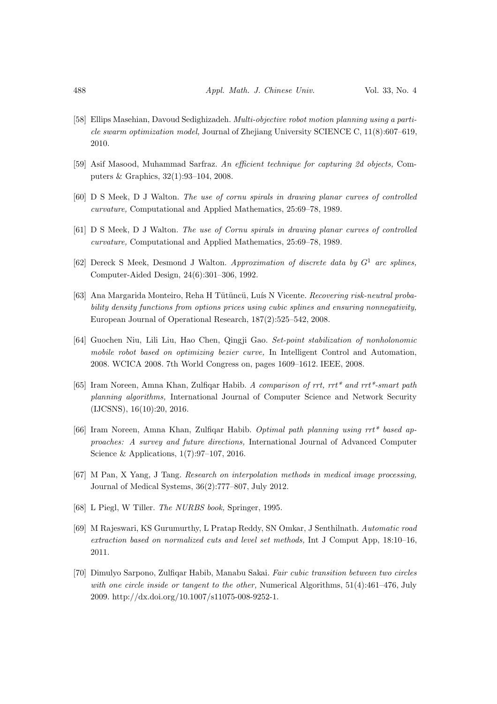- [58] Ellips Masehian, Davoud Sedighizadeh. Multi-objective robot motion planning using a particle swarm optimization model, Journal of Zhejiang University SCIENCE C, 11(8):607–619, 2010.
- [59] Asif Masood, Muhammad Sarfraz. An efficient technique for capturing 2d objects, Computers & Graphics, 32(1):93–104, 2008.
- [60] D S Meek, D J Walton. The use of cornu spirals in drawing planar curves of controlled curvature, Computational and Applied Mathematics, 25:69–78, 1989.
- [61] D S Meek, D J Walton. The use of Cornu spirals in drawing planar curves of controlled curvature, Computational and Applied Mathematics, 25:69–78, 1989.
- [62] Dereck S Meek, Desmond J Walton. Approximation of discrete data by  $G<sup>1</sup>$  arc splines, Computer-Aided Design, 24(6):301–306, 1992.
- [63] Ana Margarida Monteiro, Reha H Tütüncü, Luís N Vicente. Recovering risk-neutral probability density functions from options prices using cubic splines and ensuring nonnegativity, European Journal of Operational Research, 187(2):525–542, 2008.
- [64] Guochen Niu, Lili Liu, Hao Chen, Qingji Gao. Set-point stabilization of nonholonomic mobile robot based on optimizing bezier curve, In Intelligent Control and Automation, 2008. WCICA 2008. 7th World Congress on, pages 1609–1612. IEEE, 2008.
- [65] Iram Noreen, Amna Khan, Zulfiqar Habib. A comparison of rrt, rrt\* and rrt\*-smart path planning algorithms, International Journal of Computer Science and Network Security (IJCSNS), 16(10):20, 2016.
- [66] Iram Noreen, Amna Khan, Zulfiqar Habib. Optimal path planning using rrt\* based approaches: A survey and future directions, International Journal of Advanced Computer Science & Applications, 1(7):97–107, 2016.
- [67] M Pan, X Yang, J Tang. Research on interpolation methods in medical image processing, Journal of Medical Systems, 36(2):777–807, July 2012.
- [68] L Piegl, W Tiller. The NURBS book, Springer, 1995.
- [69] M Rajeswari, KS Gurumurthy, L Pratap Reddy, SN Omkar, J Senthilnath. Automatic road extraction based on normalized cuts and level set methods, Int J Comput App, 18:10–16, 2011.
- [70] Dimulyo Sarpono, Zulfiqar Habib, Manabu Sakai. Fair cubic transition between two circles with one circle inside or tangent to the other, Numerical Algorithms, 51(4):461–476, July 2009. http://dx.doi.org/10.1007/s11075-008-9252-1.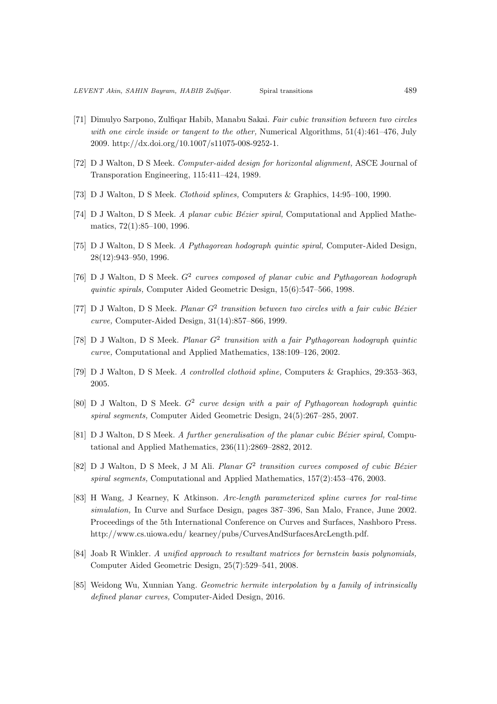- [71] Dimulyo Sarpono, Zulfiqar Habib, Manabu Sakai. Fair cubic transition between two circles with one circle inside or tangent to the other, Numerical Algorithms, 51(4):461–476, July 2009. http://dx.doi.org/10.1007/s11075-008-9252-1.
- [72] D J Walton, D S Meek. Computer-aided design for horizontal alignment, ASCE Journal of Transporation Engineering, 115:411–424, 1989.
- [73] D J Walton, D S Meek. Clothoid splines, Computers & Graphics, 14:95–100, 1990.
- [74] D J Walton, D S Meek. A planar cubic Bézier spiral, Computational and Applied Mathematics, 72(1):85–100, 1996.
- [75] D J Walton, D S Meek. A Pythagorean hodograph quintic spiral, Computer-Aided Design, 28(12):943–950, 1996.
- [76] D J Walton, D S Meek.  $G^2$  curves composed of planar cubic and Pythagorean hodograph quintic spirals, Computer Aided Geometric Design, 15(6):547–566, 1998.
- [77] D J Walton, D S Meek. Planar  $G^2$  transition between two circles with a fair cubic Bézier curve, Computer-Aided Design, 31(14):857–866, 1999.
- [78]  $D$  J Walton,  $D$  S Meek. Planar  $G^2$  transition with a fair Pythagorean hodograph quintic curve, Computational and Applied Mathematics, 138:109–126, 2002.
- [79] D J Walton, D S Meek. A controlled clothoid spline, Computers & Graphics, 29:353–363, 2005.
- [80] D J Walton, D S Meek.  $G^2$  curve design with a pair of Pythagorean hodograph quintic spiral segments, Computer Aided Geometric Design, 24(5):267–285, 2007.
- [81] D J Walton, D S Meek. A further generalisation of the planar cubic Bézier spiral, Computational and Applied Mathematics, 236(11):2869–2882, 2012.
- [82] D J Walton, D S Meek, J M Ali. Planar  $G^2$  transition curves composed of cubic Bézier spiral segments, Computational and Applied Mathematics, 157(2):453–476, 2003.
- [83] H Wang, J Kearney, K Atkinson. Arc-length parameterized spline curves for real-time simulation, In Curve and Surface Design, pages 387–396, San Malo, France, June 2002. Proceedings of the 5th International Conference on Curves and Surfaces, Nashboro Press. http://www.cs.uiowa.edu/ kearney/pubs/CurvesAndSurfacesArcLength.pdf.
- [84] Joab R Winkler. A unified approach to resultant matrices for bernstein basis polynomials, Computer Aided Geometric Design, 25(7):529–541, 2008.
- [85] Weidong Wu, Xunnian Yang. Geometric hermite interpolation by a family of intrinsically defined planar curves, Computer-Aided Design, 2016.